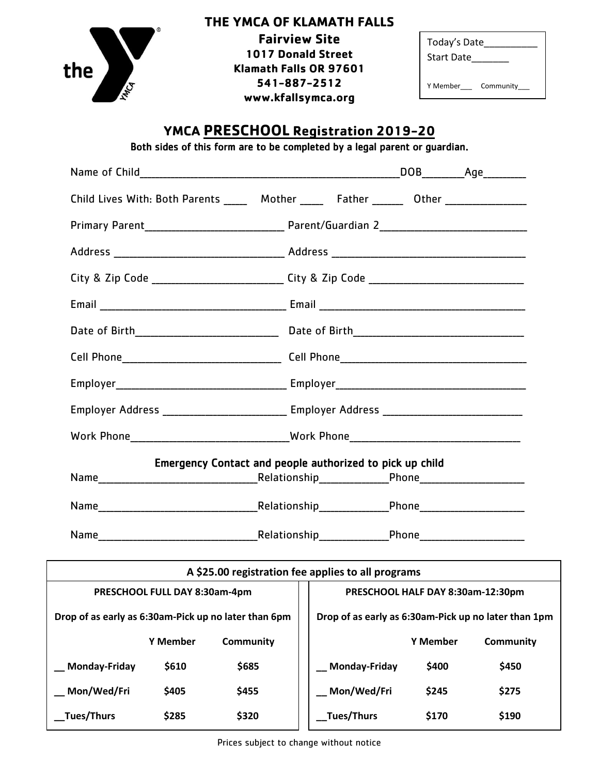

## **THE YMCA OF KLAMATH FALLS**

 **1017 Donald Street Fairview Site Klamath Falls OR 97601 541-887-2512 www.kfallsymca.org**

| Today's Date |           |  |
|--------------|-----------|--|
| Start Date   |           |  |
|              |           |  |
| Y Memher     | Community |  |

## **YMCA PRESCHOOL Registration 2019-20**

Both sides of this form are to be completed by a legal parent or guardian.

|                                                      |                 | Child Lives With: Both Parents _____ Mother _____ Father ______ Other ___________                   |               |                 |                                                      |
|------------------------------------------------------|-----------------|-----------------------------------------------------------------------------------------------------|---------------|-----------------|------------------------------------------------------|
|                                                      |                 |                                                                                                     |               |                 |                                                      |
|                                                      |                 |                                                                                                     |               |                 |                                                      |
|                                                      |                 |                                                                                                     |               |                 |                                                      |
|                                                      |                 |                                                                                                     |               |                 |                                                      |
|                                                      |                 |                                                                                                     |               |                 |                                                      |
|                                                      |                 |                                                                                                     |               |                 |                                                      |
|                                                      |                 |                                                                                                     |               |                 |                                                      |
|                                                      |                 | Employer Address ________________________________ Employer Address ________________________________ |               |                 |                                                      |
|                                                      |                 |                                                                                                     |               |                 |                                                      |
|                                                      |                 | Emergency Contact and people authorized to pick up child                                            |               |                 |                                                      |
|                                                      |                 |                                                                                                     |               |                 |                                                      |
|                                                      |                 |                                                                                                     |               |                 |                                                      |
|                                                      |                 |                                                                                                     |               |                 |                                                      |
| A \$25.00 registration fee applies to all programs   |                 |                                                                                                     |               |                 |                                                      |
| PRESCHOOL FULL DAY 8:30am-4pm                        |                 | PRESCHOOL HALF DAY 8:30am-12:30pm                                                                   |               |                 |                                                      |
| Drop of as early as 6:30am-Pick up no later than 6pm |                 |                                                                                                     |               |                 | Drop of as early as 6:30am-Pick up no later than 1pm |
|                                                      | <b>Y Member</b> | <b>Community</b>                                                                                    |               | <b>Y Member</b> | <b>Community</b>                                     |
| <b>Monday-Friday</b>                                 | \$610           | \$685                                                                                               | Monday-Friday | \$400           | \$450                                                |
| Mon/Wed/Fri                                          | \$405           | \$455                                                                                               | Mon/Wed/Fri   | \$245           | \$275                                                |
| Tues/Thurs                                           | \$285           | \$320                                                                                               | Tues/Thurs    | \$170           | \$190                                                |